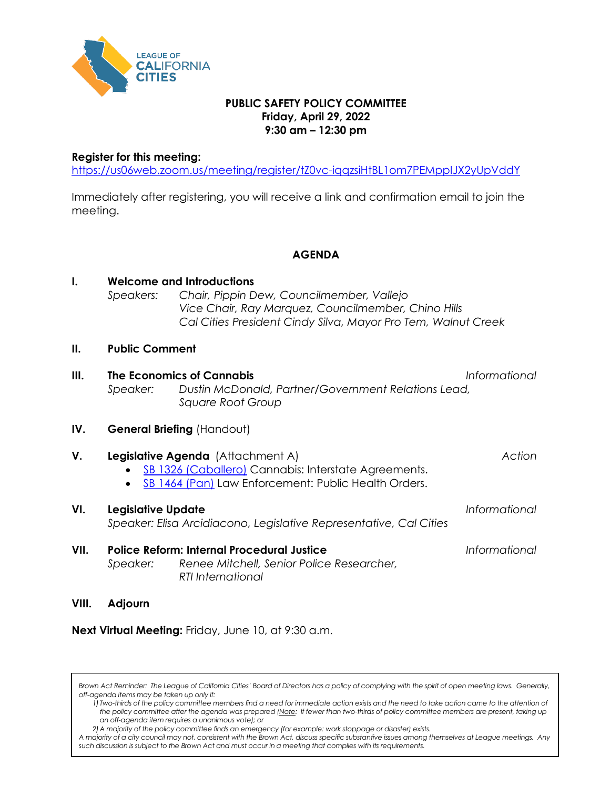

## **PUBLIC SAFETY POLICY COMMITTEE Friday, April 29, 2022 9:30 am – 12:30 pm**

## **Register for this meeting:**

. . . .

<https://us06web.zoom.us/meeting/register/tZ0vc-iqqzsiHtBL1om7PEMppIJX2yUpVddY>

Immediately after registering, you will receive a link and confirmation email to join the meeting.

**AGENDA**

| $\mathbf{I}$ . | Speakers:                                                                                                                              | <b>Welcome and Introductions</b><br>Chair, Pippin Dew, Councilmember, Vallejo<br>Vice Chair, Ray Marquez, Councilmember, Chino Hills<br>Cal Cities President Cindy Silva, Mayor Pro Tem, Walnut Creek |               |  |
|----------------|----------------------------------------------------------------------------------------------------------------------------------------|-------------------------------------------------------------------------------------------------------------------------------------------------------------------------------------------------------|---------------|--|
| II.            | <b>Public Comment</b>                                                                                                                  |                                                                                                                                                                                                       |               |  |
| III.           | Speaker:                                                                                                                               | The Economics of Cannabis<br>Informational<br>Dustin McDonald, Partner/Government Relations Lead,<br><b>Square Root Group</b>                                                                         |               |  |
| IV.            | General Briefing (Handout)                                                                                                             |                                                                                                                                                                                                       |               |  |
| V.             |                                                                                                                                        | Legislative Agenda (Attachment A)<br>SB 1326 (Caballero) Cannabis: Interstate Agreements.<br>SB 1464 (Pan) Law Enforcement: Public Health Orders.                                                     | Action        |  |
| VI.            | Legislative Update<br>Speaker: Elisa Arcidiacono, Legislative Representative, Cal Cities                                               |                                                                                                                                                                                                       | Informational |  |
| VII.           | <b>Police Reform: Internal Procedural Justice</b><br>Renee Mitchell, Senior Police Researcher,<br>Speaker:<br><b>RTI</b> International |                                                                                                                                                                                                       | Informational |  |
| VIII.          | Adjourn                                                                                                                                |                                                                                                                                                                                                       |               |  |

**Next Virtual Meeting:** Friday, June 10, at 9:30 a.m.

Brown Act Reminder: The League of California Cities' Board of Directors has a policy of complying with the spirit of open meeting laws. Generally, *off-agenda items may be taken up only if:*

*1) Two-thirds of the policy committee members find a need for immediate action exists and the need to take action came to the attention of the policy committee after the agenda was prepared (Note: If fewer than two-thirds of policy committee members are present, taking up an off-agenda item requires a unanimous vote); or*

*A majority of a city council may not, consistent with the Brown Act, discuss specific substantive issues among themselves at League meetings. Any such discussion is subject to the Brown Act and must occur in a meeting that complies with its requirements.*

*<sup>2)</sup>A majority of the policy committee finds an emergency (for example: work stoppage or disaster) exists.*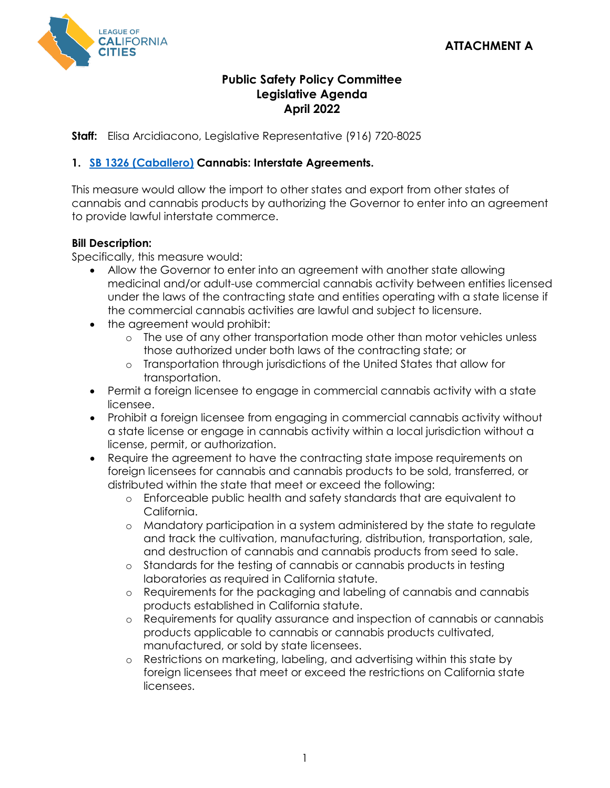

# **Public Safety Policy Committee Legislative Agenda April 2022**

**Staff:** Elisa Arcidiacono, Legislative Representative (916) 720-8025

# **1. [SB 1326 \(Caballero\)](https://ctweb.capitoltrack.com/public/search.aspx?id=ad485199-37cd-42cd-8217-d19b4d257119&session=21&s=sb%201326&t=bill) Cannabis: Interstate Agreements.**

This measure would allow the import to other states and export from other states of cannabis and cannabis products by authorizing the Governor to enter into an agreement to provide lawful interstate commerce.

# **Bill Description:**

Specifically, this measure would:

- Allow the Governor to enter into an agreement with another state allowing medicinal and/or adult-use commercial cannabis activity between entities licensed under the laws of the contracting state and entities operating with a state license if the commercial cannabis activities are lawful and subject to licensure.
- the agreement would prohibit:
	- o The use of any other transportation mode other than motor vehicles unless those authorized under both laws of the contracting state; or
	- o Transportation through jurisdictions of the United States that allow for transportation.
- Permit a foreign licensee to engage in commercial cannabis activity with a state licensee.
- Prohibit a foreign licensee from engaging in commercial cannabis activity without a state license or engage in cannabis activity within a local jurisdiction without a license, permit, or authorization.
- Require the agreement to have the contracting state impose requirements on foreign licensees for cannabis and cannabis products to be sold, transferred, or distributed within the state that meet or exceed the following:
	- o Enforceable public health and safety standards that are equivalent to California.
	- o Mandatory participation in a system administered by the state to regulate and track the cultivation, manufacturing, distribution, transportation, sale, and destruction of cannabis and cannabis products from seed to sale.
	- o Standards for the testing of cannabis or cannabis products in testing laboratories as required in California statute.
	- o Requirements for the packaging and labeling of cannabis and cannabis products established in California statute.
	- o Requirements for quality assurance and inspection of cannabis or cannabis products applicable to cannabis or cannabis products cultivated, manufactured, or sold by state licensees.
	- o Restrictions on marketing, labeling, and advertising within this state by foreign licensees that meet or exceed the restrictions on California state licensees.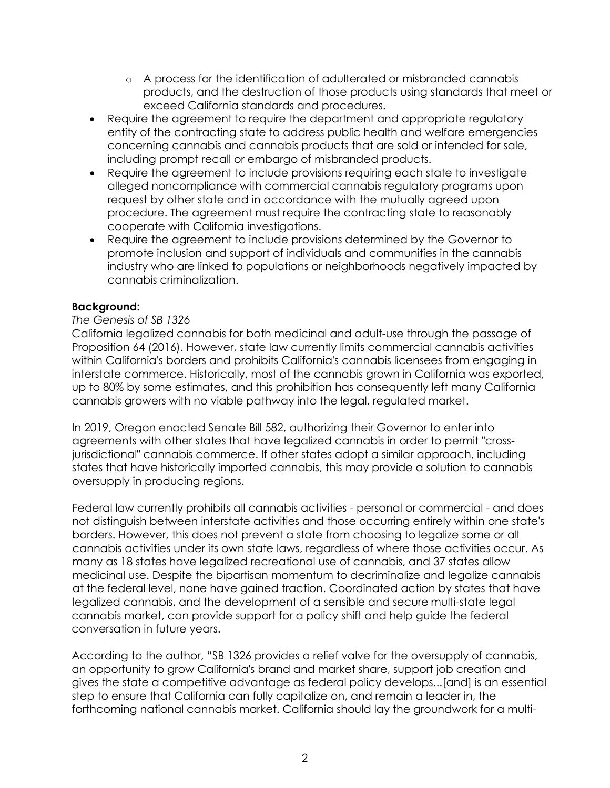- o A process for the identification of adulterated or misbranded cannabis products, and the destruction of those products using standards that meet or exceed California standards and procedures.
- Require the agreement to require the department and appropriate regulatory entity of the contracting state to address public health and welfare emergencies concerning cannabis and cannabis products that are sold or intended for sale, including prompt recall or embargo of misbranded products.
- Require the agreement to include provisions requiring each state to investigate alleged noncompliance with commercial cannabis regulatory programs upon request by other state and in accordance with the mutually agreed upon procedure. The agreement must require the contracting state to reasonably cooperate with California investigations.
- Require the agreement to include provisions determined by the Governor to promote inclusion and support of individuals and communities in the cannabis industry who are linked to populations or neighborhoods negatively impacted by cannabis criminalization.

# **Background:**

# *The Genesis of SB 1326*

California legalized cannabis for both medicinal and adult-use through the passage of Proposition 64 (2016). However, state law currently limits commercial cannabis activities within California's borders and prohibits California's cannabis licensees from engaging in interstate commerce. Historically, most of the cannabis grown in California was exported, up to 80% by some estimates, and this prohibition has consequently left many California cannabis growers with no viable pathway into the legal, regulated market.

In 2019, Oregon enacted Senate Bill 582, authorizing their Governor to enter into agreements with other states that have legalized cannabis in order to permit "crossjurisdictional" cannabis commerce. If other states adopt a similar approach, including states that have historically imported cannabis, this may provide a solution to cannabis oversupply in producing regions.

Federal law currently prohibits all cannabis activities - personal or commercial - and does not distinguish between interstate activities and those occurring entirely within one state's borders. However, this does not prevent a state from choosing to legalize some or all cannabis activities under its own state laws, regardless of where those activities occur. As many as 18 states have legalized recreational use of cannabis, and 37 states allow medicinal use. Despite the bipartisan momentum to decriminalize and legalize cannabis at the federal level, none have gained traction. Coordinated action by states that have legalized cannabis, and the development of a sensible and secure multi-state legal cannabis market, can provide support for a policy shift and help guide the federal conversation in future years.

According to the author, "SB 1326 provides a relief valve for the oversupply of cannabis, an opportunity to grow California's brand and market share, support job creation and gives the state a competitive advantage as federal policy develops...[and] is an essential step to ensure that California can fully capitalize on, and remain a leader in, the forthcoming national cannabis market. California should lay the groundwork for a multi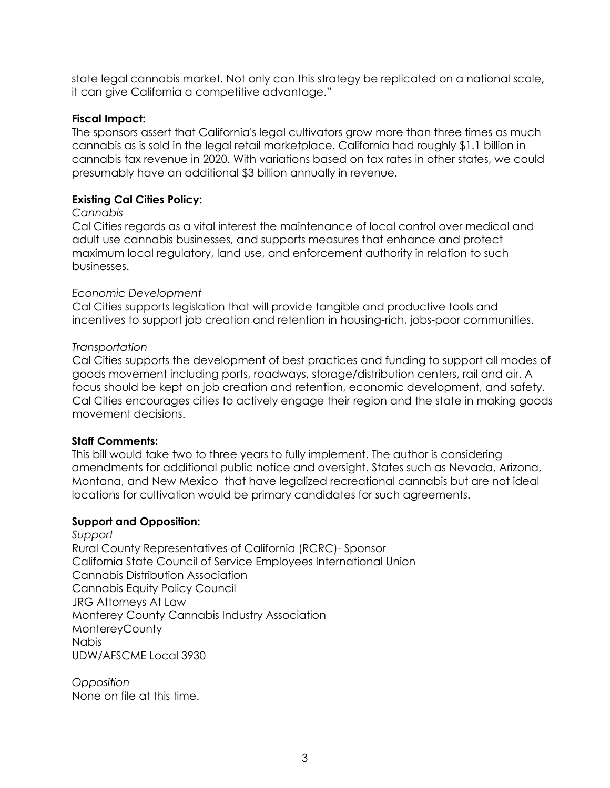state legal cannabis market. Not only can this strategy be replicated on a national scale, it can give California a competitive advantage."

### **Fiscal Impact:**

The sponsors assert that California's legal cultivators grow more than three times as much cannabis as is sold in the legal retail marketplace. California had roughly \$1.1 billion in cannabis tax revenue in 2020. With variations based on tax rates in other states, we could presumably have an additional \$3 billion annually in revenue.

## **Existing Cal Cities Policy:**

#### *Cannabis*

Cal Cities regards as a vital interest the maintenance of local control over medical and adult use cannabis businesses, and supports measures that enhance and protect maximum local regulatory, land use, and enforcement authority in relation to such businesses.

## *Economic Development*

Cal Cities supports legislation that will provide tangible and productive tools and incentives to support job creation and retention in housing-rich, jobs-poor communities.

## *Transportation*

Cal Cities supports the development of best practices and funding to support all modes of goods movement including ports, roadways, storage/distribution centers, rail and air. A focus should be kept on job creation and retention, economic development, and safety. Cal Cities encourages cities to actively engage their region and the state in making goods movement decisions.

## **Staff Comments:**

This bill would take two to three years to fully implement. The author is considering amendments for additional public notice and oversight. States such as Nevada, Arizona, Montana, and New Mexico that have legalized recreational cannabis but are not ideal locations for cultivation would be primary candidates for such agreements.

#### **Support and Opposition:**

*Support* Rural County Representatives of California (RCRC)- Sponsor California State Council of Service Employees International Union Cannabis Distribution Association Cannabis Equity Policy Council JRG Attorneys At Law Monterey County Cannabis Industry Association **MontereyCounty** Nabis UDW/AFSCME Local 3930

*Opposition* None on file at this time.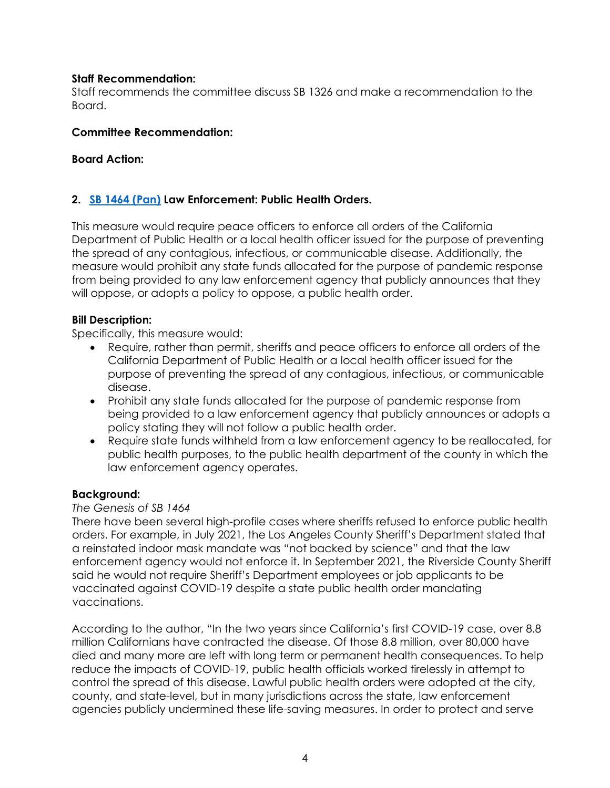# **Staff Recommendation:**

Staff recommends the committee discuss SB 1326 and make a recommendation to the Board.

# **Committee Recommendation:**

# **Board Action:**

# **2. [SB 1464 \(Pan\)](https://ctweb.capitoltrack.com/public/search.aspx?id=ad485199-37cd-42cd-8217-d19b4d257119&session=21&s=sb%201464&t=bill) Law Enforcement: Public Health Orders.**

This measure would require peace officers to enforce all orders of the California Department of Public Health or a local health officer issued for the purpose of preventing the spread of any contagious, infectious, or communicable disease. Additionally, the measure would prohibit any state funds allocated for the purpose of pandemic response from being provided to any law enforcement agency that publicly announces that they will oppose, or adopts a policy to oppose, a public health order.

# **Bill Description:**

Specifically, this measure would:

- Require, rather than permit, sheriffs and peace officers to enforce all orders of the California Department of Public Health or a local health officer issued for the purpose of preventing the spread of any contagious, infectious, or communicable disease.
- Prohibit any state funds allocated for the purpose of pandemic response from being provided to a law enforcement agency that publicly announces or adopts a policy stating they will not follow a public health order.
- Require state funds withheld from a law enforcement agency to be reallocated, for public health purposes, to the public health department of the county in which the law enforcement agency operates.

## **Background:**

# *The Genesis of SB 1464*

There have been several high-profile cases where sheriffs refused to enforce public health orders. For example, in July 2021, the Los Angeles County Sheriff's Department stated that a reinstated indoor mask mandate was "not backed by science" and that the law enforcement agency would not enforce it. In September 2021, the Riverside County Sheriff said he would not require Sheriff's Department employees or job applicants to be vaccinated against COVID-19 despite a state public health order mandating vaccinations.

According to the author, "In the two years since California's first COVID-19 case, over 8.8 million Californians have contracted the disease. Of those 8.8 million, over 80,000 have died and many more are left with long term or permanent health consequences. To help reduce the impacts of COVID-19, public health officials worked tirelessly in attempt to control the spread of this disease. Lawful public health orders were adopted at the city, county, and state-level, but in many jurisdictions across the state, law enforcement agencies publicly undermined these life-saving measures. In order to protect and serve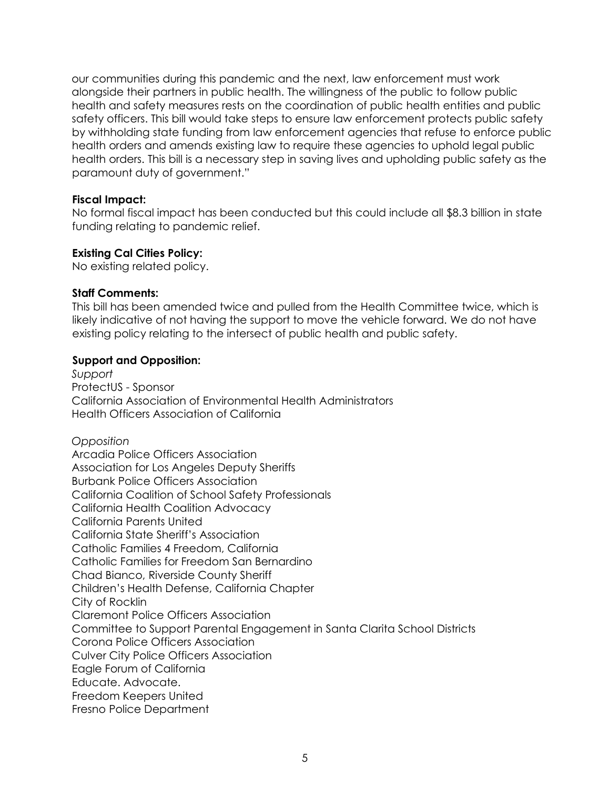our communities during this pandemic and the next, law enforcement must work alongside their partners in public health. The willingness of the public to follow public health and safety measures rests on the coordination of public health entities and public safety officers. This bill would take steps to ensure law enforcement protects public safety by withholding state funding from law enforcement agencies that refuse to enforce public health orders and amends existing law to require these agencies to uphold legal public health orders. This bill is a necessary step in saving lives and upholding public safety as the paramount duty of government."

### **Fiscal Impact:**

No formal fiscal impact has been conducted but this could include all \$8.3 billion in state funding relating to pandemic relief.

## **Existing Cal Cities Policy:**

No existing related policy.

### **Staff Comments:**

This bill has been amended twice and pulled from the Health Committee twice, which is likely indicative of not having the support to move the vehicle forward. We do not have existing policy relating to the intersect of public health and public safety.

### **Support and Opposition:**

*Support* ProtectUS - Sponsor California Association of Environmental Health Administrators Health Officers Association of California

*Opposition* Arcadia Police Officers Association Association for Los Angeles Deputy Sheriffs Burbank Police Officers Association California Coalition of School Safety Professionals California Health Coalition Advocacy California Parents United California State Sheriff's Association Catholic Families 4 Freedom, California Catholic Families for Freedom San Bernardino Chad Bianco, Riverside County Sheriff Children's Health Defense, California Chapter City of Rocklin Claremont Police Officers Association Committee to Support Parental Engagement in Santa Clarita School Districts Corona Police Officers Association Culver City Police Officers Association Eagle Forum of California Educate. Advocate. Freedom Keepers United Fresno Police Department